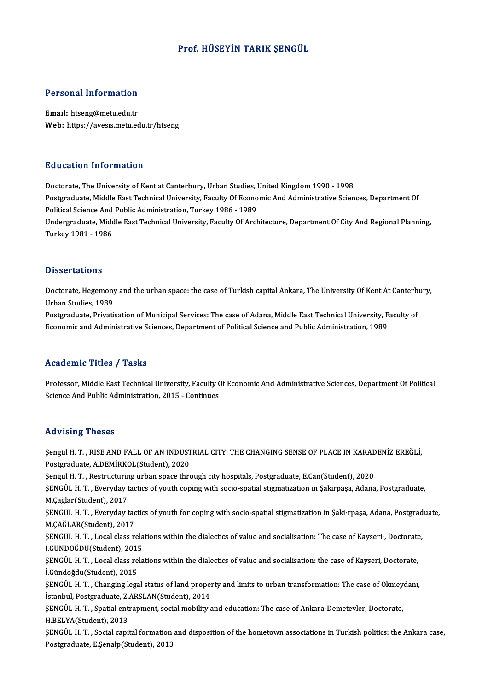# Prof.HÜSEYİN TARIK ŞENGÜL

### Personal Information

Email: htseng@metu.edu.tr Web: https://avesis.metu.edu.tr/htseng

#### Education Information

Doctorate, The University of Kent at Canterbury, Urban Studies, United Kingdom 1990 - 1998 Postgraduate, Middle East Technical University, Faculty Of Economic And Administrative Sciences, Department Of Doctorate, The University of Kent at Canterbury, Urban Studies, I<br>Postgraduate, Middle East Technical University, Faculty Of Econo<br>Political Science And Public Administration, Turkey 1986 - 1989<br>Undergraduate Middle Fast T Undergraduate, Middle East Technical University, Faculty Of Architecture, Department Of City And Regional Planning,<br>Turkey 1981 - 1986 Political Science And<br>Undergraduate, Midc<br>Turkey 1981 - 1986

#### **Dissertations**

Dissertations<br>Doctorate, Hegemony and the urban space: the case of Turkish capital Ankara, The University Of Kent At Canterbury,<br>Urban Studies, 1989 *D'isser decorre<br>Doctorate, Hegemony*<br>Urban Studies, 1989<br>Postareduste, Privati Doctorate, Hegemony and the urban space: the case of Turkish capital Ankara, The University Of Kent At Canterb<br>Urban Studies, 1989<br>Postgraduate, Privatisation of Municipal Services: The case of Adana, Middle East Technical

Urban Studies, 1989<br>Postgraduate, Privatisation of Municipal Services: The case of Adana, Middle East Technical University, Faculty of<br>Economic and Administrative Sciences, Department of Political Science and Public Admini

# Academic Titles / Tasks

Professor, Middle East Technical University, Faculty Of Economic And Administrative Sciences, Department Of Political Science And Public Administration, 2015 - Continues

#### Advising Theses

Advising Theses<br>Şengül H. T. , RISE AND FALL OF AN INDUSTRIAL CITY: THE CHANGING SENSE OF PLACE IN KARADENİZ EREĞLİ,<br>Restanadusta A DEMİRKOL (Student), 2020 Postgraduate, A.D.<br>Postgraduate, A.DEMİRKOL(Student), 2020<br>Postgraduate, A.DEMİRKOL(Student), 2020<br>Sengül H. T., Bestmusturing urban anasa thre Şengül H. T. , RISE AND FALL OF AN INDUSTRIAL CITY: THE CHANGING SENSE OF PLACE IN KARAD<br>Postgraduate, A.DEMİRKOL(Student), 2020<br>Şengül H. T. , Restructuring urban space through city hospitals, Postgraduate, E.Can(Student) Postgraduate, A.DEMİRKOL(Student), 2020<br>Şengül H. T. , Restructuring urban space through city hospitals, Postgraduate, E.Can(Student), 2020<br>ŞENGÜL H. T. , Everyday tactics of youth coping with socio-spatial stigmatization Şengül H. T. , Restructurin<br>ŞENGÜL H. T. , Everyday t<br>M.Çağlar(Student), 2017<br>SENCÜL H. T. Everyday t ŞENGÜL H. T. , Everyday tactics of youth coping with socio-spatial stigmatization in Şakirpaşa, Adana, Postgraduate,<br>M.Çağlar(Student), 2017<br>ŞENGÜL H. T. , Everyday tactics of youth for coping with socio-spatial stigmatiza M.Çağlar(Student), 2017<br>ŞENGÜL H. T. , Everyday tac<br>M.ÇAĞLAR(Student), 2017<br>SENGÜL H. T. , Local class r. ŞENGÜL H. T. , Everyday tactics of youth for coping with socio-spatial stigmatization in Şaki·rpaşa, Adana, Postgrad<br>M.ÇAĞLAR(Student), 2017<br>ŞENGÜL H. T. , Local class relations within the dialectics of value and socialisa M.ÇAĞLAR(Student), 2017<br>ŞENGÜL H. T. , Local class relations within the dialectics of value and socialisation: The case of Kayseri•, Doctorate,<br>İ.GÜNDOĞDU(Student), 2015 ŞENGÜL H. T. , Local class relations within the dialectics of value and socialisation: The case of Kayseri<sup>,</sup>, Doctorate<br>İ.GÜNDOĞDU(Student), 2015<br>ŞENGÜL H. T. , Local class relations within the dialectics of value and soc İ.GÜNDOĞDU(Student), 2015<br>ŞENGÜL H. T. , Local class re<br>İ.Gündoğdu(Student), 2015<br>SENGÜL H. T. , Changing laga ŞENGÜL H. T. , Local class relations within the dialectics of value and socialisation: the case of Kayseri, Doctorate,<br>İ.Gündoğdu(Student), 2015<br>ŞENGÜL H. T. , Changing legal status of land property and limits to urban tra İ.Gündoğdu(Student), 2015<br>ŞENGÜL H. T. , Changing legal status of land proper<br>İstanbul, Postgraduate, Z.ARSLAN(Student), 2014<br>SENGÜL H. T. , Spatial antranmant, social mobility s ŞENGÜL H. T. , Changing legal status of land property and limits to urban transformation: The case of Okmeydanı, İstanbul, Postgraduate, Z.ARSLAN(Student), 2014<br>ŞENGÜL H. T. , Spatial entrapment, social mobility and educat İstanbul, Postgraduate, Z.<br>ŞENGÜL H. T. , Spatial ent<br>H.BELYA(Student), 2013<br>SENGÜL H. T. - Sosial sani ŞENGÜL H. T. , Spatial entrapment, social mobility and education: The case of Ankara-Demetevler, Doctorate,<br>H.BELYA(Student), 2013<br>ŞENGÜL H. T. , Social capital formation and disposition of the hometown associations in Tur H.BELYA(Student), 2013<br>ŞENGÜL H. T. , Social capital formation<br>Postgraduate, E.Şenalp(Student), 2013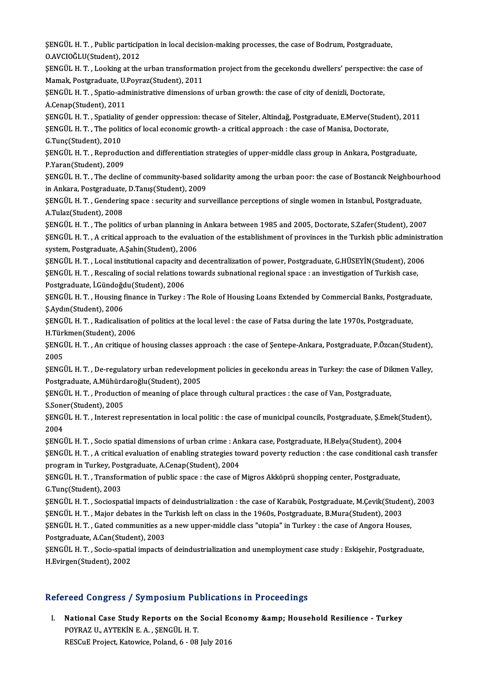ŞENGÜL H. T. , Public participation in local decision-making processes, the case of Bodrum, Postgraduate,<br>O AVGIQČLU(Student), 2012 SENGÜL H. T. , Public particip<br>O.AVCIOĞLU(Student), 2012<br>SENGÜL H. T. , Looking at the ŞENGÜL H. T. , Public participation in local decision-making processes, the case of Bodrum, Postgraduate,<br>O.AVCIOĞLU(Student), 2012<br>ŞENGÜL H. T. , Looking at the urban transformation project from the gecekondu dwellers' pe

O.AVCIOĞLU(Student), 2012<br>ŞENGÜL H. T. , Looking at the urban transformat<br>Mamak, Postgraduate, U.Poyraz(Student), 2011<br>SENGÜL H. T. Spatia edministrative dimensione ŞENGÜL H. T. , Looking at the urban transformation project from the gecekondu dwellers' perspective:<br>Mamak, Postgraduate, U.Poyraz(Student), 2011<br>ŞENGÜL H. T. , Spatio-administrative dimensions of urban growth: the case of

Mamak, Postgraduate, U.Poyraz(Student), 2011<br>ŞENGÜL H. T. , Spatio-administrative dimensions of urban growth: the case of city of denizli, Doctorate,<br>A.Cenap(Student), 2011 ŞENGÜL H. T. , Spatio-administrative dimensions of urban growth: the case of city of denizli, Doctorate,<br>A.Cenap(Student), 2011<br>ŞENGÜL H. T. , Spatiality of gender oppression: thecase of Siteler, Altindağ, Postgraduate, E.

A.Cenap(Student), 2011<br>ŞENGÜL H. T. , Spatiality of gender oppression: thecase of Siteler, Altindağ, Postgraduate, E.Merve(Stude<br>ŞENGÜL H. T. , The politics of local economic growth- a critical approach : the case of Manis SENGÜL H. T. , Spatiality<br>SENGÜL H. T. , The polit<br>G.Tunç(Student), 2010<br>SENGÜL H. T., Benredu ŞENGÜL H. T. , The politics of local economic growth- a critical approach : the case of Manisa, Doctorate,<br>G.Tunç(Student), 2010<br>ŞENGÜL H. T. , Reproduction and differentiation strategies of upper-middle class group in Ank

G.Tunç(Student), 2010<br>ŞENGÜL H. T. , Reproduc<br>P.Yaran(Student), 2009<br>SENGÜL H. T. The decli ŞENGÜL H. T. , Reproduction and differentiation strategies of upper-middle class group in Ankara, Postgraduate,<br>P.Yaran(Student), 2009<br>ŞENGÜL H. T. , The decline of community-based solidarity among the urban poor: the case

P.Yaran(Student), 2009<br>ŞENGÜL H. T. , The decline of community-based solidarity among the urban poor: the case of Bostancık Neighbourhood<br>in Ankara, Postgraduate, D.Tanış(Student), 2009 ŞENGÜL H. T. , The decline of community-based solidarity among the urban poor: the case of Bostancık Neighbour<br>in Ankara, Postgraduate, D.Tanış(Student), 2009<br>ŞENGÜL H. T. , Gendering space : security and surveillance perc

in Ankara, Postgraduate<br>ŞENGÜL H. T. , Genderin<br>A.Tulaz(Student), 2008<br>SENGÜL H. T. , The politi ŞENGÜL H. T. , Gendering space : security and surveillance perceptions of single women in Istanbul, Postgraduate,<br>A.Tulaz(Student), 2008<br>SENGÜL H. T. , The politics of urban planning in Ankara between 1985 and 2005, Doctor

A.Tulaz(Student), 2008<br>ŞENGÜL H. T. , The politics of urban planning in Ankara between 1985 and 2005, Doctorate, S.Zafer(Student), 2007<br>ŞENGÜL H. T. , A critical approach to the evaluation of the establishment of provinces \$ENGÜL H. T. , The politics of urban planning in Ankara between 1985 and 2005, Doctorate, S.Zafer(Student), 2007<br>\$ENGÜL H. T. , A critical approach to the evaluation of the establishment of provinces in the Turkish pblic a ŞENGÜL H. T. , A critical approach to the evaluation of the establishment of provinces in the Turkish pblic administratives in the System, Postgraduate, A.Şahin(Student), 2006<br>SENGÜL H. T. , Local institutional capacity an

system, Postgraduate, A.Şahin(Student), 2006<br>ŞENGÜL H. T. , Local institutional capacity and decentralization of power, Postgraduate, G.HÜSEYİN(Student), 200<br>ŞENGÜL H. T. , Rescaling of social relations towards subnational SENGÜL H. T. , Local institutional capacity a<br>SENGÜL H. T. , Rescaling of social relations<br>Postgraduate, İ.Gündoğdu(Student), 2006<br>SENGÜL H. T. Housing finance in Turkov . ŞENGÜL H. T. , Rescaling of social relations towards subnational regional space : an investigation of Turkish case,<br>Postgraduate, İ.Gündoğdu(Student), 2006<br>ŞENGÜL H. T. , Housing finance in Turkey : The Role of Housing Loa

Postgraduate, İ.Gündoğdu(Student), 2006<br>ŞENGÜL H. T. , Housing finance in Turkey : The Role of Housing Loans Extended by Commercial Banks, Postgraduate,<br>Ş.Aydın(Student), 2006 ŞENGÜL H. T. , Housing finance in Turkey : The Role of Housing Loans Extended by Commercial Banks, Postgrad<br>Ş.Aydın(Student), 2006<br>ŞENGÜL H. T. , Radicalisation of politics at the local level : the case of Fatsa during the

Ş.Aydın(Student), 2006<br>ŞENGÜL H. T. , Radicalisation<br>H.Türkmen(Student), 2006<br>SENCÜL H. T. - An grifique Q ŞENGÜL H. T. , Radicalisation of politics at the local level : the case of Fatsa during the late 1970s, Postgraduate,<br>H.Türkmen(Student), 2006<br>ŞENGÜL H. T. , An critique of housing classes approach : the case of Şentepe-An

H Türl<br>ŞENGI<br>2005<br>SENCI ŞENGÜL H. T. , An critique of housing classes approach : the case of Şentepe-Ankara, Postgraduate, P.Özcan(Student),<br>2005<br>ŞENGÜL H. T. , De-regulatory urban redevelopment policies in gecekondu areas in Turkey: the case of

2005<br>ŞENGÜL H. T. , De-regulatory urban redevelopment policies in gecekondu areas in Turkey: the case of Dikmen Valley, Postgraduate, A.Mühürdaroğlu (Student), 2005

ŞENGÜL H. T. , Production of meaning of place through cultural practices : the case of Van, Postgraduate,<br>S.Soner(Student), 2005 ŞENGÜL H. T. , Production of meaning of place through cultural practices : the case of Van, Postgraduate,<br>S.Soner(Student), 2005<br>ŞENGÜL H. T. , Interest representation in local politic : the case of municipal councils, Pos

S.Sone<br>ŞENGI<br>2004<br>SENCI ŞENGÜL H. T. , Interest representation in local politic : the case of municipal councils, Postgraduate, Ş.Emek(S<br>2004<br>ŞENGÜL H. T. , Socio spatial dimensions of urban crime : Ankara case, Postgraduate, H.Belya(Student), 20

2004<br>ŞENGÜL H. T. , Socio spatial dimensions of urban crime : Ankara case, Postgraduate, H.Belya(Student), 2004<br>ŞENGÜL H. T. , A critical evaluation of enabling strategies toward poverty reduction : the case conditional ca **SENGÜL H. T. , Socio spatial dimensions of urban crime : An<br>SENGÜL H. T. , A critical evaluation of enabling strategies to<br>program in Turkey, Postgraduate, A.Cenap(Student), 2004<br>SENGÜL H. T. Transformation of public angg** ŞENGÜL H. T. , A critical evaluation of enabling strategies toward poverty reduction : the case conditional ca<br>program in Turkey, Postgraduate, A.Cenap(Student), 2004<br>ŞENGÜL H. T. , Transformation of public space : the cas

program in Turkey, Postgraduate, A.Cenap(Student), 2004<br>ŞENGÜL H. T. , Transformation of public space : the case of Migros Akköprü shopping center, Postgraduate,<br>G.Tunç(Student), 2003 ŞENGÜL H. T. , Transformation of public space : the case of Migros Akköprü shopping center, Postgraduate,<br>G.Tunç(Student), 2003<br>ŞENGÜL H. T. , Sociospatial impacts of deindustrialization : the case of Karabük, Postgraduate

G.Tunç(Student), 2003<br>ŞENGÜL H. T. , Sociospatial impacts of deindustrialization : the case of Karabük, Postgraduate, M.Çevik(Stude<br>ŞENGÜL H. T. , Major debates in the Turkish left on class in the 1960s, Postgraduate, B.Mu ŞENGÜL H. T. , Sociospatial impacts of deindustrialization : the case of Karabük, Postgraduate, M.Çevik(Student)<br>ŞENGÜL H. T. , Major debates in the Turkish left on class in the 1960s, Postgraduate, B.Mura(Student), 2003<br>Ş

**SENGÜL H. T. , Major debates in the 1<br>SENGÜL H. T. , Gated communities as<br>Postgraduate, A.Can(Student), 2003<br>SENGÜL H. T. Socio spatial impasts :** ŞENGÜL H. T. , Gated communities as a new upper-middle class "utopia" in Turkey : the case of Angora Houses,<br>Postgraduate, A.Can(Student), 2003<br>ŞENGÜL H. T. , Socio-spatial impacts of deindustrialization and unemployment c

Postgraduate, A.Can(Student), 2003<br>ŞENGÜL H. T. , Socio-spatial impacts of deindustrialization and unemployment case study : Eskişehir, Postgraduate,<br>H.Evirgen(Student), 2002

# Refereed Congress / Symposium Publications in Proceedings

efereed Congress / Symposium Publications in Proceedings<br>I. National Case Study Reports on the Social Economy &amp; Household Resilience - Turkey<br>ROVRAZ IL AVTEVIN E A SENCÜL H T POSET COMBITERS 7 BY HIPOSTEMI 1 EXTERNATIONAL METHODISCHE POYRAZU., AYTEKİNE.A., ŞENGÜLH.T. National Case Study Reports on the Social Ec<br>POYRAZ U., AYTEKİN E. A. , ŞENGÜL H. T.<br>RESCuE Project, Katowice, Poland, 6 - 08 July 2016